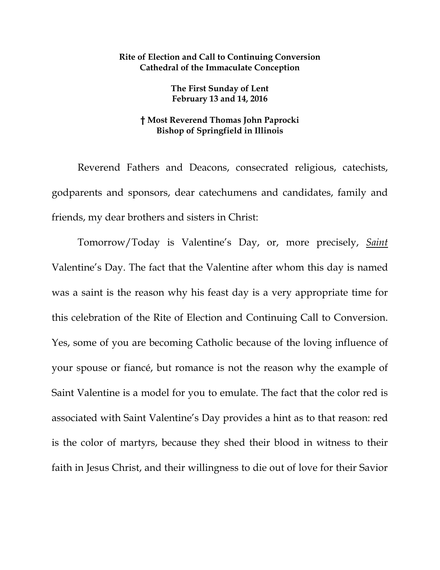## **Rite of Election and Call to Continuing Conversion Cathedral of the Immaculate Conception**

**The First Sunday of Lent February 13 and 14, 2016** 

## **† Most Reverend Thomas John Paprocki Bishop of Springfield in Illinois**

Reverend Fathers and Deacons, consecrated religious, catechists, godparents and sponsors, dear catechumens and candidates, family and friends, my dear brothers and sisters in Christ:

Tomorrow/Today is Valentine's Day, or, more precisely, *Saint* Valentine's Day. The fact that the Valentine after whom this day is named was a saint is the reason why his feast day is a very appropriate time for this celebration of the Rite of Election and Continuing Call to Conversion. Yes, some of you are becoming Catholic because of the loving influence of your spouse or fiancé, but romance is not the reason why the example of Saint Valentine is a model for you to emulate. The fact that the color red is associated with Saint Valentine's Day provides a hint as to that reason: red is the color of martyrs, because they shed their blood in witness to their faith in Jesus Christ, and their willingness to die out of love for their Savior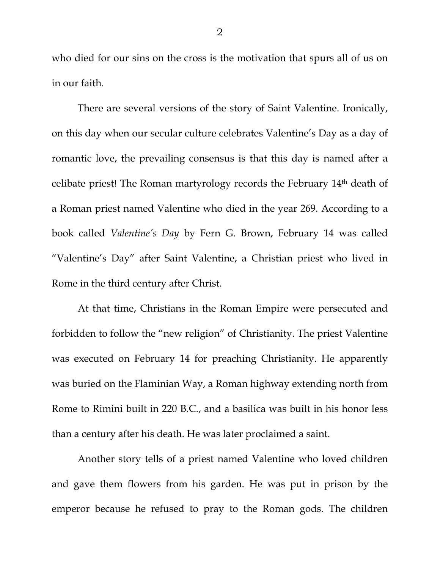who died for our sins on the cross is the motivation that spurs all of us on in our faith.

There are several versions of the story of Saint Valentine. Ironically, on this day when our secular culture celebrates Valentine's Day as a day of romantic love, the prevailing consensus is that this day is named after a celibate priest! The Roman martyrology records the February 14th death of a Roman priest named Valentine who died in the year 269. According to a book called *Valentine's Day* by Fern G. Brown, February 14 was called "Valentine's Day" after Saint Valentine, a Christian priest who lived in Rome in the third century after Christ.

At that time, Christians in the Roman Empire were persecuted and forbidden to follow the "new religion" of Christianity. The priest Valentine was executed on February 14 for preaching Christianity. He apparently was buried on the Flaminian Way, a Roman highway extending north from Rome to Rimini built in 220 B.C., and a basilica was built in his honor less than a century after his death. He was later proclaimed a saint.

Another story tells of a priest named Valentine who loved children and gave them flowers from his garden. He was put in prison by the emperor because he refused to pray to the Roman gods. The children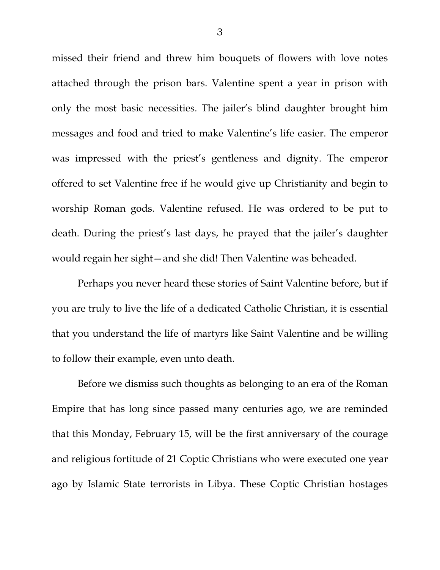missed their friend and threw him bouquets of flowers with love notes attached through the prison bars. Valentine spent a year in prison with only the most basic necessities. The jailer's blind daughter brought him messages and food and tried to make Valentine's life easier. The emperor was impressed with the priest's gentleness and dignity. The emperor offered to set Valentine free if he would give up Christianity and begin to worship Roman gods. Valentine refused. He was ordered to be put to death. During the priest's last days, he prayed that the jailer's daughter would regain her sight—and she did! Then Valentine was beheaded.

Perhaps you never heard these stories of Saint Valentine before, but if you are truly to live the life of a dedicated Catholic Christian, it is essential that you understand the life of martyrs like Saint Valentine and be willing to follow their example, even unto death.

Before we dismiss such thoughts as belonging to an era of the Roman Empire that has long since passed many centuries ago, we are reminded that this Monday, February 15, will be the first anniversary of the courage and religious fortitude of 21 Coptic Christians who were executed one year ago by Islamic State terrorists in Libya. These Coptic Christian hostages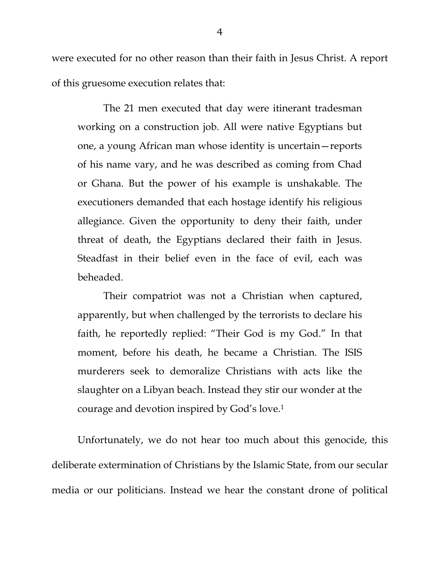were executed for no other reason than their faith in Jesus Christ. A report of this gruesome execution relates that:

The 21 men executed that day were itinerant tradesman working on a construction job. All were native Egyptians but one, a young African man whose identity is uncertain—reports of his name vary, and he was described as coming from Chad or Ghana. But the power of his example is unshakable. The executioners demanded that each hostage identify his religious allegiance. Given the opportunity to deny their faith, under threat of death, the Egyptians declared their faith in Jesus. Steadfast in their belief even in the face of evil, each was beheaded.

Their compatriot was not a Christian when captured, apparently, but when challenged by the terrorists to declare his faith, he reportedly replied: "Their God is my God." In that moment, before his death, he became a Christian. The ISIS murderers seek to demoralize Christians with acts like the slaughter on a Libyan beach. Instead they stir our wonder at the courage and devotion inspired by God's love.1

Unfortunately, we do not hear too much about this genocide, this deliberate extermination of Christians by the Islamic State, from our secular media or our politicians. Instead we hear the constant drone of political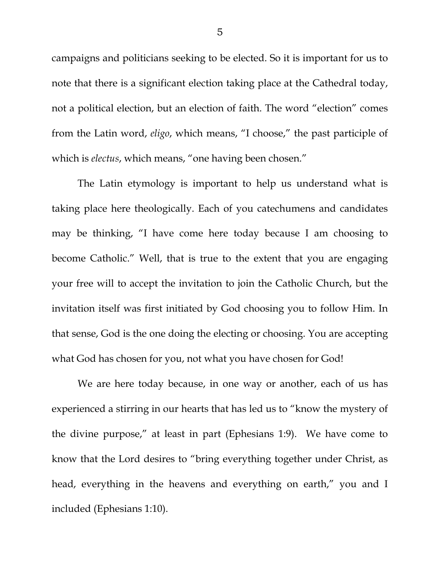campaigns and politicians seeking to be elected. So it is important for us to note that there is a significant election taking place at the Cathedral today, not a political election, but an election of faith. The word "election" comes from the Latin word, *eligo*, which means, "I choose," the past participle of which is *electus*, which means, "one having been chosen."

The Latin etymology is important to help us understand what is taking place here theologically. Each of you catechumens and candidates may be thinking, "I have come here today because I am choosing to become Catholic." Well, that is true to the extent that you are engaging your free will to accept the invitation to join the Catholic Church, but the invitation itself was first initiated by God choosing you to follow Him. In that sense, God is the one doing the electing or choosing. You are accepting what God has chosen for you, not what you have chosen for God!

We are here today because, in one way or another, each of us has experienced a stirring in our hearts that has led us to "know the mystery of the divine purpose," at least in part (Ephesians 1:9). We have come to know that the Lord desires to "bring everything together under Christ, as head, everything in the heavens and everything on earth," you and I included (Ephesians 1:10).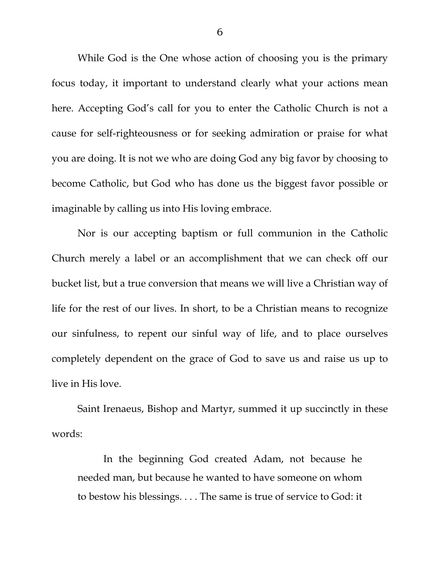While God is the One whose action of choosing you is the primary focus today, it important to understand clearly what your actions mean here. Accepting God's call for you to enter the Catholic Church is not a cause for self-righteousness or for seeking admiration or praise for what you are doing. It is not we who are doing God any big favor by choosing to become Catholic, but God who has done us the biggest favor possible or imaginable by calling us into His loving embrace.

Nor is our accepting baptism or full communion in the Catholic Church merely a label or an accomplishment that we can check off our bucket list, but a true conversion that means we will live a Christian way of life for the rest of our lives. In short, to be a Christian means to recognize our sinfulness, to repent our sinful way of life, and to place ourselves completely dependent on the grace of God to save us and raise us up to live in His love.

Saint Irenaeus, Bishop and Martyr, summed it up succinctly in these words:

In the beginning God created Adam, not because he needed man, but because he wanted to have someone on whom to bestow his blessings. . . . The same is true of service to God: it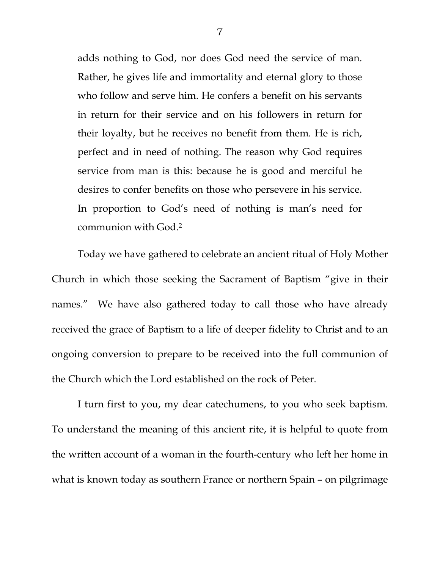adds nothing to God, nor does God need the service of man. Rather, he gives life and immortality and eternal glory to those who follow and serve him. He confers a benefit on his servants in return for their service and on his followers in return for their loyalty, but he receives no benefit from them. He is rich, perfect and in need of nothing. The reason why God requires service from man is this: because he is good and merciful he desires to confer benefits on those who persevere in his service. In proportion to God's need of nothing is man's need for communion with God.2

 Today we have gathered to celebrate an ancient ritual of Holy Mother Church in which those seeking the Sacrament of Baptism "give in their names." We have also gathered today to call those who have already received the grace of Baptism to a life of deeper fidelity to Christ and to an ongoing conversion to prepare to be received into the full communion of the Church which the Lord established on the rock of Peter.

 I turn first to you, my dear catechumens, to you who seek baptism. To understand the meaning of this ancient rite, it is helpful to quote from the written account of a woman in the fourth-century who left her home in what is known today as southern France or northern Spain – on pilgrimage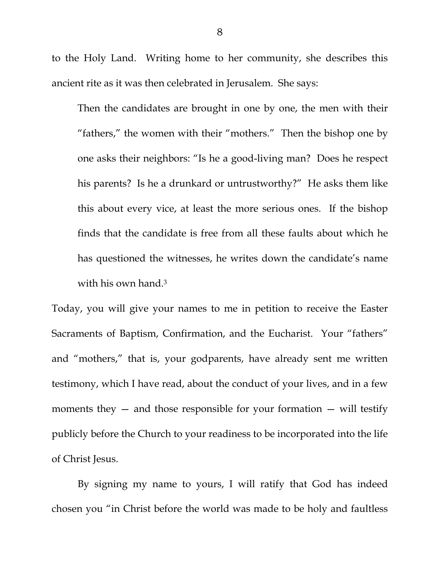to the Holy Land. Writing home to her community, she describes this ancient rite as it was then celebrated in Jerusalem. She says:

Then the candidates are brought in one by one, the men with their "fathers," the women with their "mothers." Then the bishop one by one asks their neighbors: "Is he a good-living man? Does he respect his parents? Is he a drunkard or untrustworthy?" He asks them like this about every vice, at least the more serious ones. If the bishop finds that the candidate is free from all these faults about which he has questioned the witnesses, he writes down the candidate's name with his own hand.<sup>3</sup>

Today, you will give your names to me in petition to receive the Easter Sacraments of Baptism, Confirmation, and the Eucharist. Your "fathers" and "mothers," that is, your godparents, have already sent me written testimony, which I have read, about the conduct of your lives, and in a few moments they  $-$  and those responsible for your formation  $-$  will testify publicly before the Church to your readiness to be incorporated into the life of Christ Jesus.

By signing my name to yours, I will ratify that God has indeed chosen you "in Christ before the world was made to be holy and faultless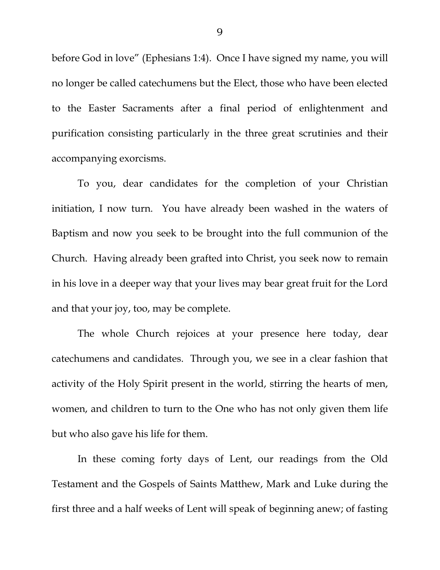before God in love" (Ephesians 1:4). Once I have signed my name, you will no longer be called catechumens but the Elect, those who have been elected to the Easter Sacraments after a final period of enlightenment and purification consisting particularly in the three great scrutinies and their accompanying exorcisms.

To you, dear candidates for the completion of your Christian initiation, I now turn. You have already been washed in the waters of Baptism and now you seek to be brought into the full communion of the Church. Having already been grafted into Christ, you seek now to remain in his love in a deeper way that your lives may bear great fruit for the Lord and that your joy, too, may be complete.

The whole Church rejoices at your presence here today, dear catechumens and candidates. Through you, we see in a clear fashion that activity of the Holy Spirit present in the world, stirring the hearts of men, women, and children to turn to the One who has not only given them life but who also gave his life for them.

In these coming forty days of Lent, our readings from the Old Testament and the Gospels of Saints Matthew, Mark and Luke during the first three and a half weeks of Lent will speak of beginning anew; of fasting

9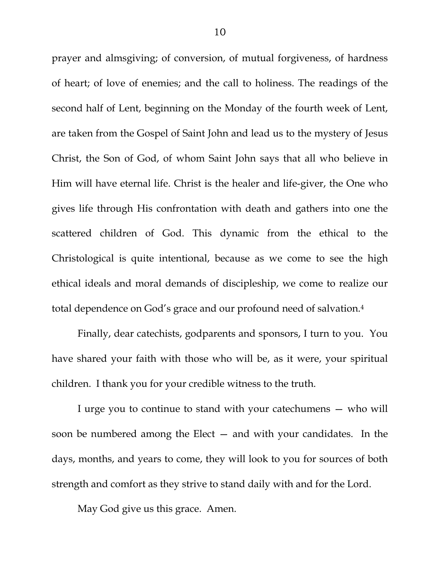prayer and almsgiving; of conversion, of mutual forgiveness, of hardness of heart; of love of enemies; and the call to holiness. The readings of the second half of Lent, beginning on the Monday of the fourth week of Lent, are taken from the Gospel of Saint John and lead us to the mystery of Jesus Christ, the Son of God, of whom Saint John says that all who believe in Him will have eternal life. Christ is the healer and life-giver, the One who gives life through His confrontation with death and gathers into one the scattered children of God. This dynamic from the ethical to the Christological is quite intentional, because as we come to see the high ethical ideals and moral demands of discipleship, we come to realize our total dependence on God's grace and our profound need of salvation.4

 Finally, dear catechists, godparents and sponsors, I turn to you. You have shared your faith with those who will be, as it were, your spiritual children. I thank you for your credible witness to the truth.

 I urge you to continue to stand with your catechumens — who will soon be numbered among the Elect — and with your candidates. In the days, months, and years to come, they will look to you for sources of both strength and comfort as they strive to stand daily with and for the Lord.

May God give us this grace. Amen.